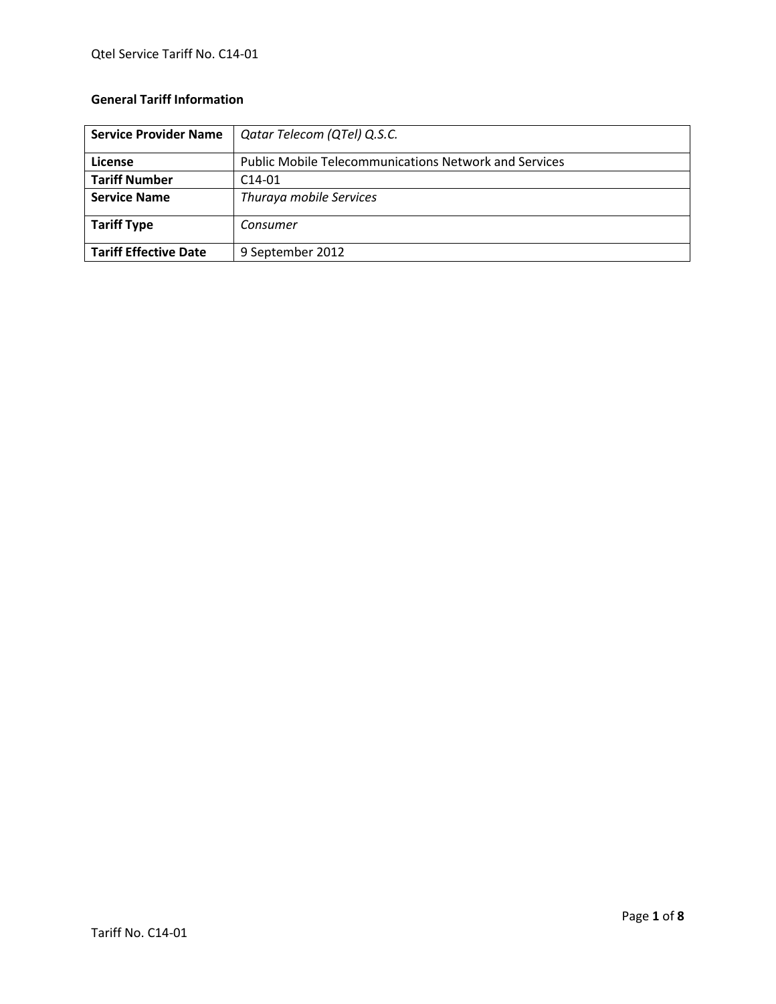# **General Tariff Information**

| <b>Service Provider Name</b> | Qatar Telecom (QTel) Q.S.C.                                  |
|------------------------------|--------------------------------------------------------------|
| License                      | <b>Public Mobile Telecommunications Network and Services</b> |
| <b>Tariff Number</b>         | $C14-01$                                                     |
| <b>Service Name</b>          | Thuraya mobile Services                                      |
| <b>Tariff Type</b>           | Consumer                                                     |
| <b>Tariff Effective Date</b> | 9 September 2012                                             |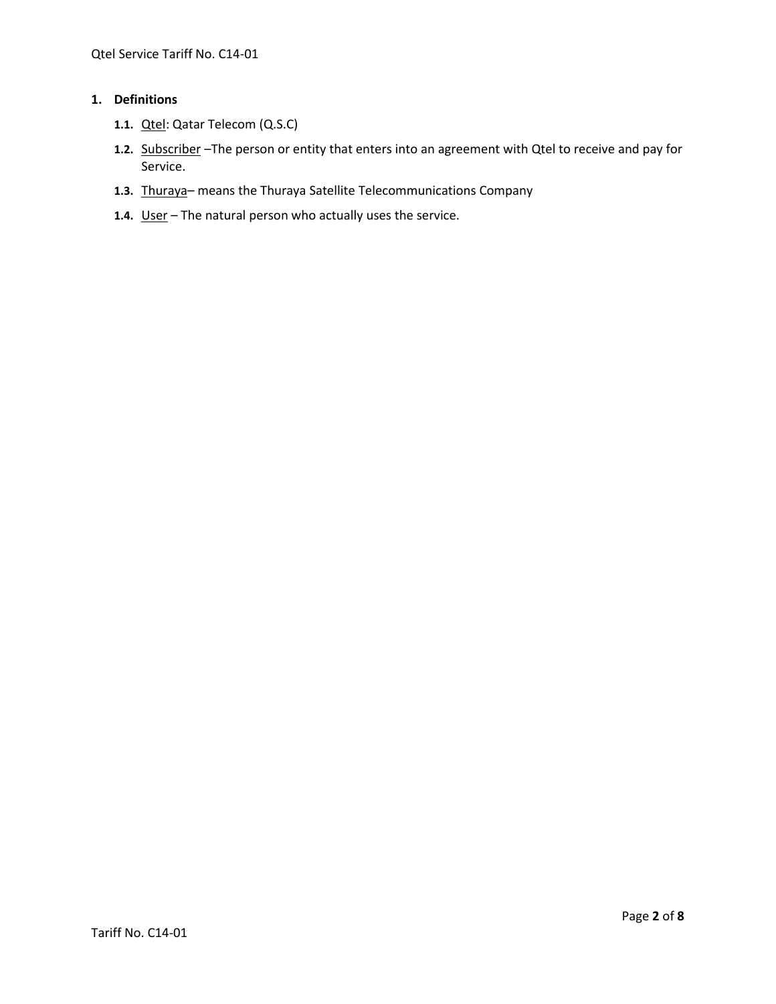# **1. Definitions**

- **1.1.** Qtel: Qatar Telecom (Q.S.C)
- **1.2.** Subscriber –The person or entity that enters into an agreement with Qtel to receive and pay for Service.
- **1.3.** Thuraya– means the Thuraya Satellite Telecommunications Company
- **1.4.** User The natural person who actually uses the service.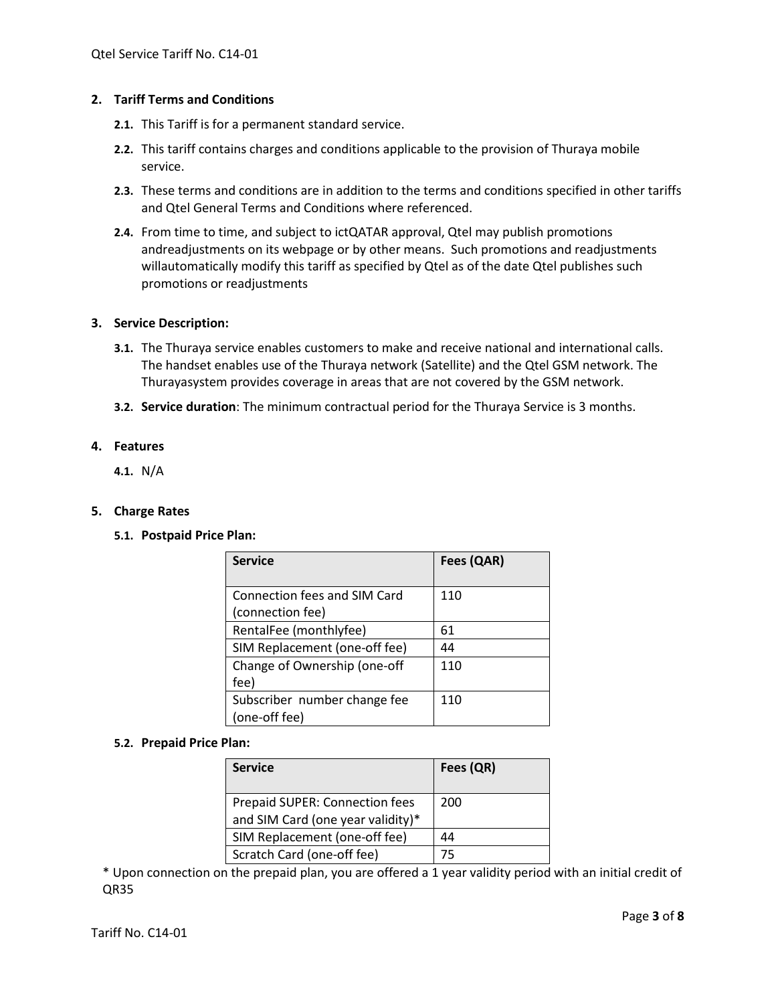# **2. Tariff Terms and Conditions**

- **2.1.** This Tariff is for a permanent standard service.
- **2.2.** This tariff contains charges and conditions applicable to the provision of Thuraya mobile service.
- **2.3.** These terms and conditions are in addition to the terms and conditions specified in other tariffs and Qtel General Terms and Conditions where referenced.
- **2.4.** From time to time, and subject to ictQATAR approval, Qtel may publish promotions andreadjustments on its webpage or by other means. Such promotions and readjustments willautomatically modify this tariff as specified by Qtel as of the date Qtel publishes such promotions or readjustments

## **3. Service Description:**

- **3.1.** The Thuraya service enables customers to make and receive national and international calls. The handset enables use of the Thuraya network (Satellite) and the Qtel GSM network. The Thurayasystem provides coverage in areas that are not covered by the GSM network.
- **3.2. Service duration**: The minimum contractual period for the Thuraya Service is 3 months.

## **4. Features**

**4.1.** N/A

#### **5. Charge Rates**

**5.1. Postpaid Price Plan:**

| <b>Service</b>                | Fees (QAR) |
|-------------------------------|------------|
|                               |            |
| Connection fees and SIM Card  | 110        |
| (connection fee)              |            |
| RentalFee (monthlyfee)        | 61         |
| SIM Replacement (one-off fee) | 44         |
| Change of Ownership (one-off  | 110        |
| fee)                          |            |
| Subscriber number change fee  | 110        |
| (one-off fee)                 |            |

#### **5.2. Prepaid Price Plan:**

| <b>Service</b>                                                      | Fees (QR) |
|---------------------------------------------------------------------|-----------|
| Prepaid SUPER: Connection fees<br>and SIM Card (one year validity)* | 200       |
| SIM Replacement (one-off fee)                                       | 44        |
| Scratch Card (one-off fee)                                          | 75        |

\* Upon connection on the prepaid plan, you are offered a 1 year validity period with an initial credit of QR35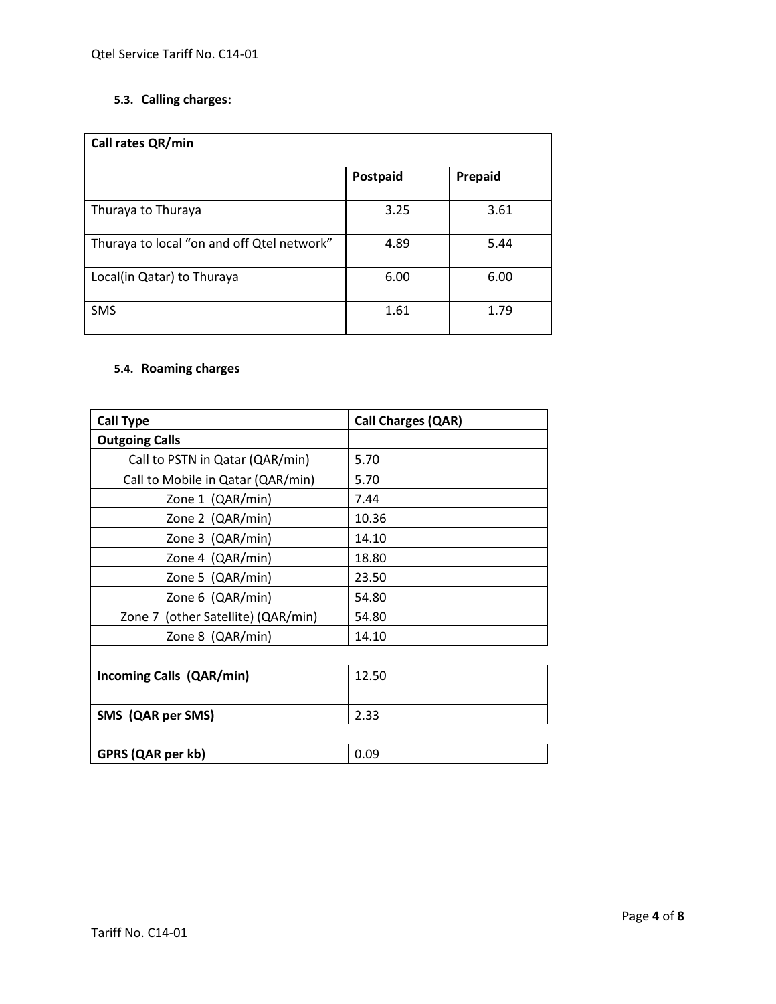# **5.3. Calling charges:**

| Call rates QR/min                          |          |         |
|--------------------------------------------|----------|---------|
|                                            | Postpaid | Prepaid |
| Thuraya to Thuraya                         | 3.25     | 3.61    |
| Thuraya to local "on and off Qtel network" | 4.89     | 5.44    |
| Local(in Qatar) to Thuraya                 | 6.00     | 6.00    |
| SMS                                        | 1.61     | 1.79    |

# **5.4. Roaming charges**

| <b>Call Type</b>                   | <b>Call Charges (QAR)</b> |
|------------------------------------|---------------------------|
| <b>Outgoing Calls</b>              |                           |
| Call to PSTN in Qatar (QAR/min)    | 5.70                      |
| Call to Mobile in Qatar (QAR/min)  | 5.70                      |
| Zone 1 (QAR/min)                   | 7.44                      |
| Zone 2 (QAR/min)                   | 10.36                     |
| Zone 3 (QAR/min)                   | 14.10                     |
| Zone 4 (QAR/min)                   | 18.80                     |
| Zone 5 (QAR/min)                   | 23.50                     |
| Zone 6 (QAR/min)                   | 54.80                     |
| Zone 7 (other Satellite) (QAR/min) | 54.80                     |
| Zone 8 (QAR/min)                   | 14.10                     |
|                                    |                           |
| <b>Incoming Calls (QAR/min)</b>    | 12.50                     |
|                                    |                           |
| SMS (QAR per SMS)                  | 2.33                      |
|                                    |                           |
| GPRS (QAR per kb)                  | 0.09                      |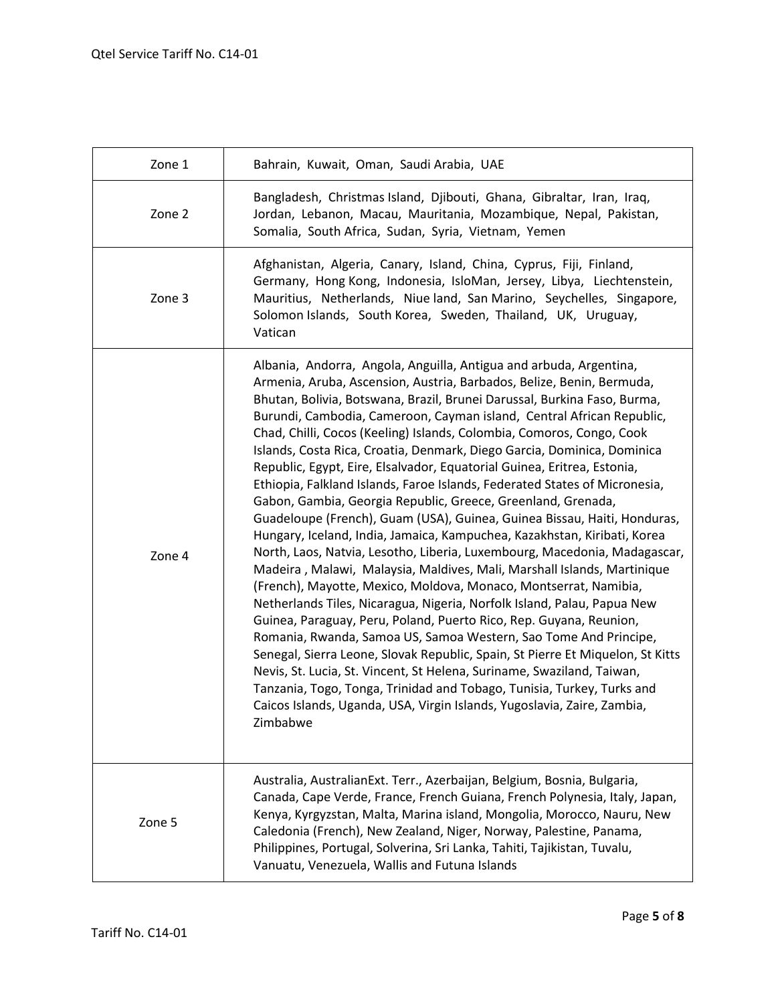| Zone 1 | Bahrain, Kuwait, Oman, Saudi Arabia, UAE                                                                                                                                                                                                                                                                                                                                                                                                                                                                                                                                                                                                                                                                                                                                                                                                                                                                                                                                                                                                                                                                                                                                                                                                                                                                                                                                                                                                                                                                                                                                                                            |
|--------|---------------------------------------------------------------------------------------------------------------------------------------------------------------------------------------------------------------------------------------------------------------------------------------------------------------------------------------------------------------------------------------------------------------------------------------------------------------------------------------------------------------------------------------------------------------------------------------------------------------------------------------------------------------------------------------------------------------------------------------------------------------------------------------------------------------------------------------------------------------------------------------------------------------------------------------------------------------------------------------------------------------------------------------------------------------------------------------------------------------------------------------------------------------------------------------------------------------------------------------------------------------------------------------------------------------------------------------------------------------------------------------------------------------------------------------------------------------------------------------------------------------------------------------------------------------------------------------------------------------------|
| Zone 2 | Bangladesh, Christmas Island, Djibouti, Ghana, Gibraltar, Iran, Iraq,<br>Jordan, Lebanon, Macau, Mauritania, Mozambique, Nepal, Pakistan,<br>Somalia, South Africa, Sudan, Syria, Vietnam, Yemen                                                                                                                                                                                                                                                                                                                                                                                                                                                                                                                                                                                                                                                                                                                                                                                                                                                                                                                                                                                                                                                                                                                                                                                                                                                                                                                                                                                                                    |
| Zone 3 | Afghanistan, Algeria, Canary, Island, China, Cyprus, Fiji, Finland,<br>Germany, Hong Kong, Indonesia, IsloMan, Jersey, Libya, Liechtenstein,<br>Mauritius, Netherlands, Niue land, San Marino, Seychelles, Singapore,<br>Solomon Islands, South Korea, Sweden, Thailand, UK, Uruguay,<br>Vatican                                                                                                                                                                                                                                                                                                                                                                                                                                                                                                                                                                                                                                                                                                                                                                                                                                                                                                                                                                                                                                                                                                                                                                                                                                                                                                                    |
| Zone 4 | Albania, Andorra, Angola, Anguilla, Antigua and arbuda, Argentina,<br>Armenia, Aruba, Ascension, Austria, Barbados, Belize, Benin, Bermuda,<br>Bhutan, Bolivia, Botswana, Brazil, Brunei Darussal, Burkina Faso, Burma,<br>Burundi, Cambodia, Cameroon, Cayman island, Central African Republic,<br>Chad, Chilli, Cocos (Keeling) Islands, Colombia, Comoros, Congo, Cook<br>Islands, Costa Rica, Croatia, Denmark, Diego Garcia, Dominica, Dominica<br>Republic, Egypt, Eire, Elsalvador, Equatorial Guinea, Eritrea, Estonia,<br>Ethiopia, Falkland Islands, Faroe Islands, Federated States of Micronesia,<br>Gabon, Gambia, Georgia Republic, Greece, Greenland, Grenada,<br>Guadeloupe (French), Guam (USA), Guinea, Guinea Bissau, Haiti, Honduras,<br>Hungary, Iceland, India, Jamaica, Kampuchea, Kazakhstan, Kiribati, Korea<br>North, Laos, Natvia, Lesotho, Liberia, Luxembourg, Macedonia, Madagascar,<br>Madeira, Malawi, Malaysia, Maldives, Mali, Marshall Islands, Martinique<br>(French), Mayotte, Mexico, Moldova, Monaco, Montserrat, Namibia,<br>Netherlands Tiles, Nicaragua, Nigeria, Norfolk Island, Palau, Papua New<br>Guinea, Paraguay, Peru, Poland, Puerto Rico, Rep. Guyana, Reunion,<br>Romania, Rwanda, Samoa US, Samoa Western, Sao Tome And Principe,<br>Senegal, Sierra Leone, Slovak Republic, Spain, St Pierre Et Miquelon, St Kitts<br>Nevis, St. Lucia, St. Vincent, St Helena, Suriname, Swaziland, Taiwan,<br>Tanzania, Togo, Tonga, Trinidad and Tobago, Tunisia, Turkey, Turks and<br>Caicos Islands, Uganda, USA, Virgin Islands, Yugoslavia, Zaire, Zambia,<br>Zimbabwe |
| Zone 5 | Australia, Australian Ext. Terr., Azerbaijan, Belgium, Bosnia, Bulgaria,<br>Canada, Cape Verde, France, French Guiana, French Polynesia, Italy, Japan,<br>Kenya, Kyrgyzstan, Malta, Marina island, Mongolia, Morocco, Nauru, New<br>Caledonia (French), New Zealand, Niger, Norway, Palestine, Panama,<br>Philippines, Portugal, Solverina, Sri Lanka, Tahiti, Tajikistan, Tuvalu,<br>Vanuatu, Venezuela, Wallis and Futuna Islands                                                                                                                                                                                                                                                                                                                                                                                                                                                                                                                                                                                                                                                                                                                                                                                                                                                                                                                                                                                                                                                                                                                                                                                 |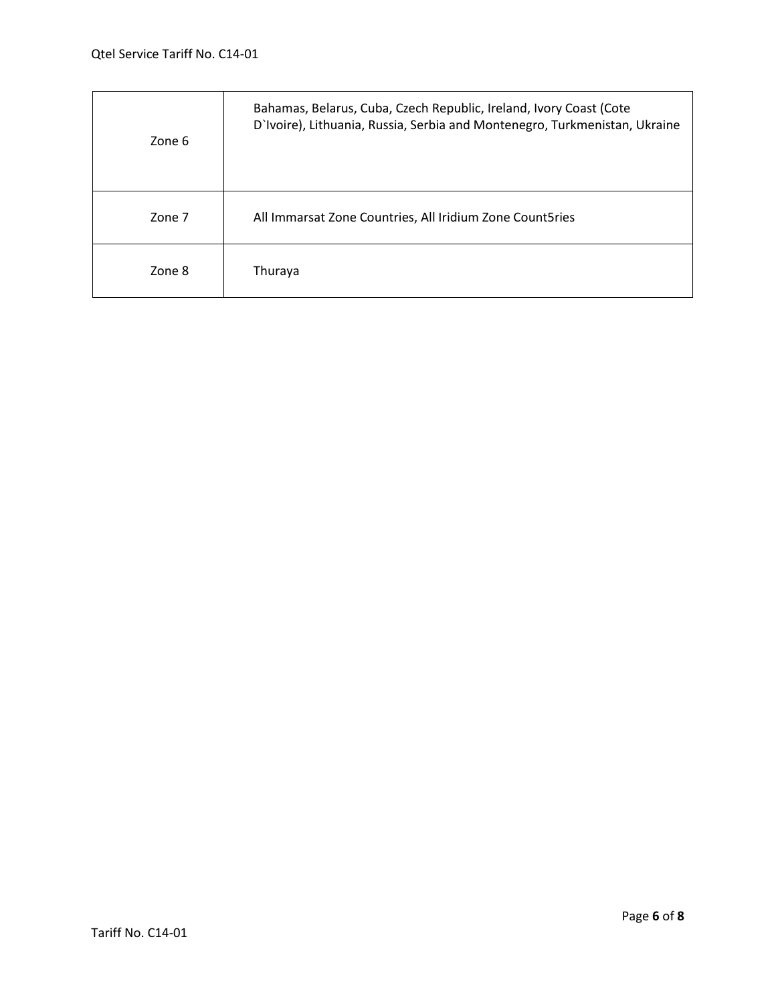| Zone 6 | Bahamas, Belarus, Cuba, Czech Republic, Ireland, Ivory Coast (Cote<br>D'Ivoire), Lithuania, Russia, Serbia and Montenegro, Turkmenistan, Ukraine |
|--------|--------------------------------------------------------------------------------------------------------------------------------------------------|
| Zone 7 | All Immarsat Zone Countries, All Iridium Zone Count5ries                                                                                         |
| Zone 8 | Thuraya                                                                                                                                          |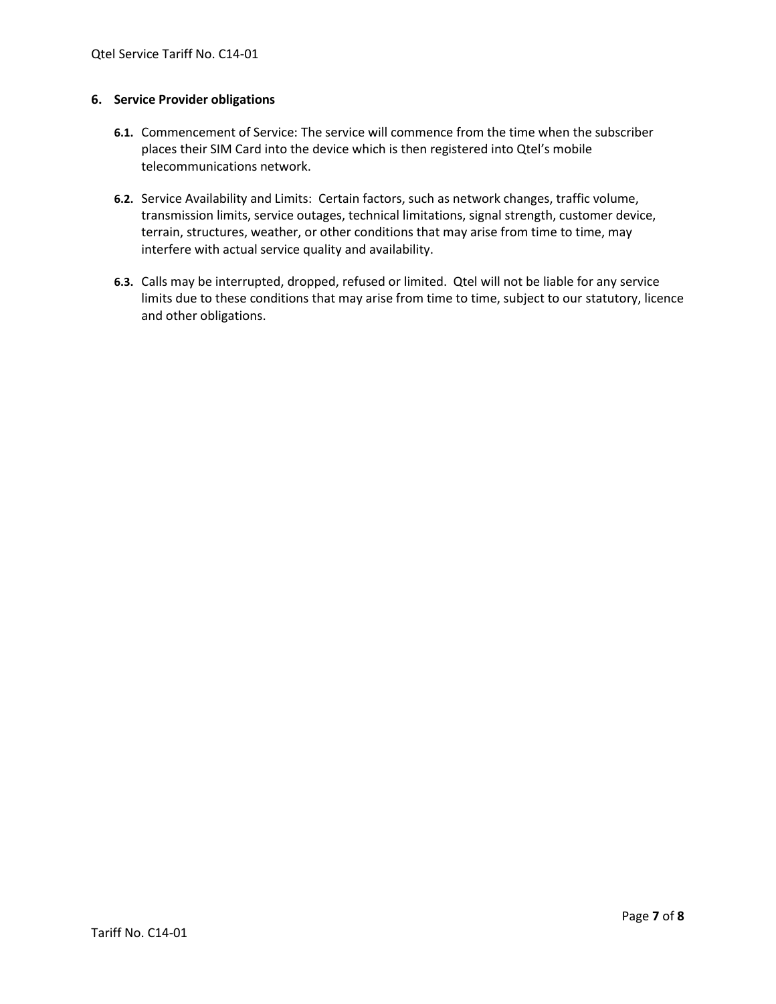# **6. Service Provider obligations**

- **6.1.** Commencement of Service: The service will commence from the time when the subscriber places their SIM Card into the device which is then registered into Qtel's mobile telecommunications network.
- **6.2.** Service Availability and Limits: Certain factors, such as network changes, traffic volume, transmission limits, service outages, technical limitations, signal strength, customer device, terrain, structures, weather, or other conditions that may arise from time to time, may interfere with actual service quality and availability.
- **6.3.** Calls may be interrupted, dropped, refused or limited. Qtel will not be liable for any service limits due to these conditions that may arise from time to time, subject to our statutory, licence and other obligations.